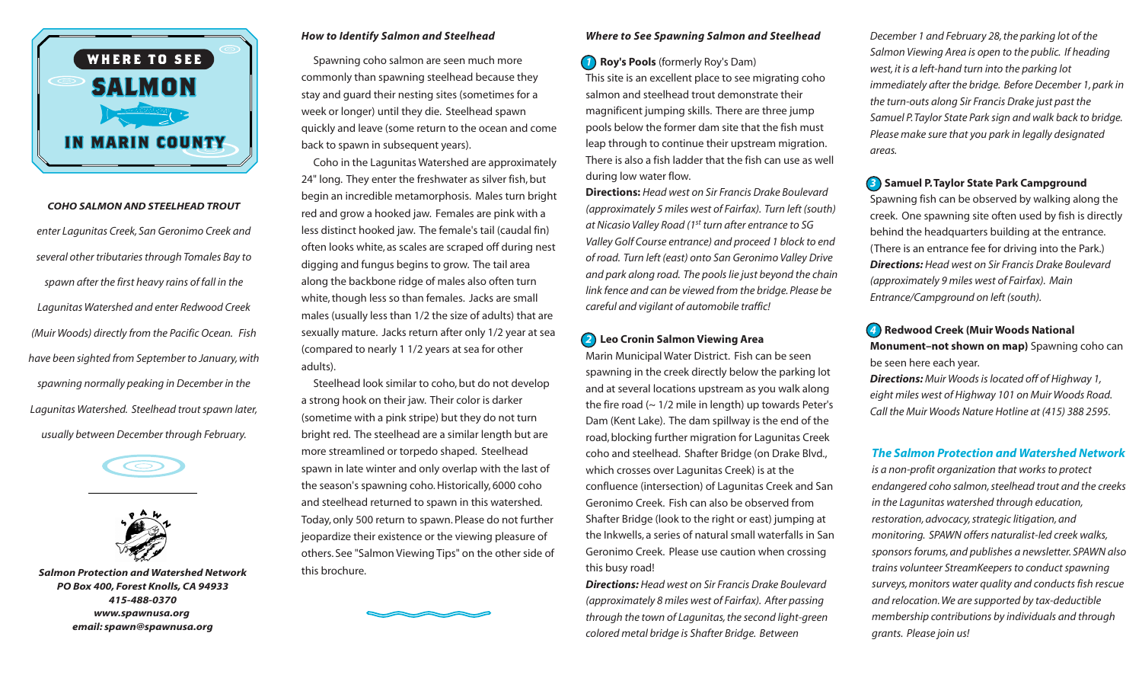

*COHO SALMON AND STEELHEAD TROUT enter Lagunitas Creek, San Geronimo Creek and several other tributariesthrough Tomales Bay to spawn after the first heavy rains of fall in the Lagunitas Watershed and enter Redwood Creek (Muir Woods) directly from the Pacific Ocean. Fish have been sighted from September to January,with spawning normally peaking in December in the Lagunitas Watershed. Steelhead troutspawn later, usually between December through February.*





*Salmon Protection and Watershed Network PO Box 400, Forest Knolls,CA 94933 415-488-0370 www.spawnusa.org email: spawn@spawnusa.org*

### *How to Identify Salmon and Steelhead*

Spawning coho salmon are seen much more commonly than spawning steelhead because they stay and guard their nesting sites (sometimes for a week or longer) until they die. Steelhead spawn quickly and leave (some return to the ocean and come back to spawn in subsequent years).

Coho in the Lagunitas Watershed are approximately 24" long. They enter the freshwater as silver fish, but begin an incredible metamorphosis. Males turn bright red and grow a hooked jaw. Females are pink with a less distinct hooked jaw. The female's tail (caudal fin) often looks white, as scales are scraped off during nest digging and fungus begins to grow. The tail area along the backbone ridge of males also often turn white, though less so than females. Jacks are small males (usually less than 1/2 the size of adults) that are sexually mature. Jacks return after only 1/2 year at sea (compared to nearly 1 1/2 years at sea for other adults).

Steelhead look similar to coho, but do not develop a strong hook on their jaw. Their color is darker (sometime with a pink stripe) but they do not turn bright red. The steelhead are a similar length but are more streamlined or torpedo shaped. Steelhead spawn in late winter and only overlap with the last of the season's spawning coho.Historically, 6000 coho and steelhead returned to spawn in this watershed. Today, only 500 return to spawn. Please do not further jeopardize their existence or the viewing pleasure of others. See "Salmon Viewing Tips" on the other side of this brochure.



#### *Where to See Spawning Salmon and Steelhead*

*1* **Roy's Pools** (formerly Roy's Dam)

This site is an excellent place to see migrating coho salmon and steelhead trout demonstrate their magnificent jumping skills. There are three jump pools below the former dam site that the fish must leap through to continue their upstream migration. There is also a fish ladder that the fish can use as well during low water flow.

**Directions:** *Head west on Sir Francis Drake Boulevard (approximately 5 miles west of Fairfax). Turn left (south) at Nicasio Valley Road (1st turn after entrance to SG Valley Golf Course entrance) and proceed 1 block to end of road. Turn left (east) onto San Geronimo Valley Drive and park along road. The poolslie just beyond the chain link fence and can be viewed from the bridge.Please be careful and vigilant of automobile traffic!*

# *2* **Leo Cronin Salmon Viewing Area**

Marin Municipal Water District. Fish can be seen spawning in the creek directly below the parking lot and at several locations upstream as you walk along the fire road  $($   $\sim$  1/2 mile in length) up towards Peter's Dam (Kent Lake). The dam spillway is the end of the road, blocking further migration for Lagunitas Creek coho and steelhead. Shafter Bridge (on Drake Blvd., which crosses over Lagunitas Creek) is at the confluence (intersection) of Lagunitas Creek and San Geronimo Creek. Fish can also be observed from Shafter Bridge (look to the right or east) jumping at the Inkwells, a series of natural small waterfalls in San Geronimo Creek. Please use caution when crossing this busy road!

*Directions: Head west on Sir Francis Drake Boulevard (approximately 8 miles west of Fairfax). After passing through the town of Lagunitas,the second light-green colored metal bridge is Shafter Bridge. Between*

*December 1 and February 28,the parking lot of the Salmon Viewing Area is open to the public. If heading west, it is a left-hand turn into the parking lot immediately after the bridge. Before December 1,park in the turn-outs along Sir Francis Drake just past the Samuel P.Taylor State Park sign and walk back to bridge. Please make sure that you park in legally designated areas.*

# *3* **Samuel P.Taylor State Park Campground**

Spawning fish can be observed by walking along the creek. One spawning site often used by fish is directly behind the headquarters building at the entrance. (There is an entrance fee for driving into the Park.) *Directions: Head west on Sir Francis Drake Boulevard (approximately 9 miles west of Fairfax). Main Entrance/Campground on left (south).*

# *4* **Redwood Creek (Muir Woods National**

**Monument–not shown on map)** Spawning coho can be seen here each year.

*Directions: Muir Woodsislocated off of Highway 1, eight miles west of Highway 101 on Muir Woods Road. Call the Muir Woods Nature Hotline at (415) 388 2595.*

### *The Salmon Protection and Watershed Network*

*is a non-profit organization that worksto protect endangered coho salmon,steelhead trout and the creeks in the Lagunitas watershed through education, restoration,advocacy,strategic litigation,and monitoring. SPAWN offers naturalist-led creek walks, sponsorsforums,and publishes a newsletter. SPAWN also trains volunteer StreamKeepersto conductspawning surveys,monitors water quality and conductsfish rescue and relocation.We are supported by tax-deductible membership contributions by individuals and through grants. Please join us!*